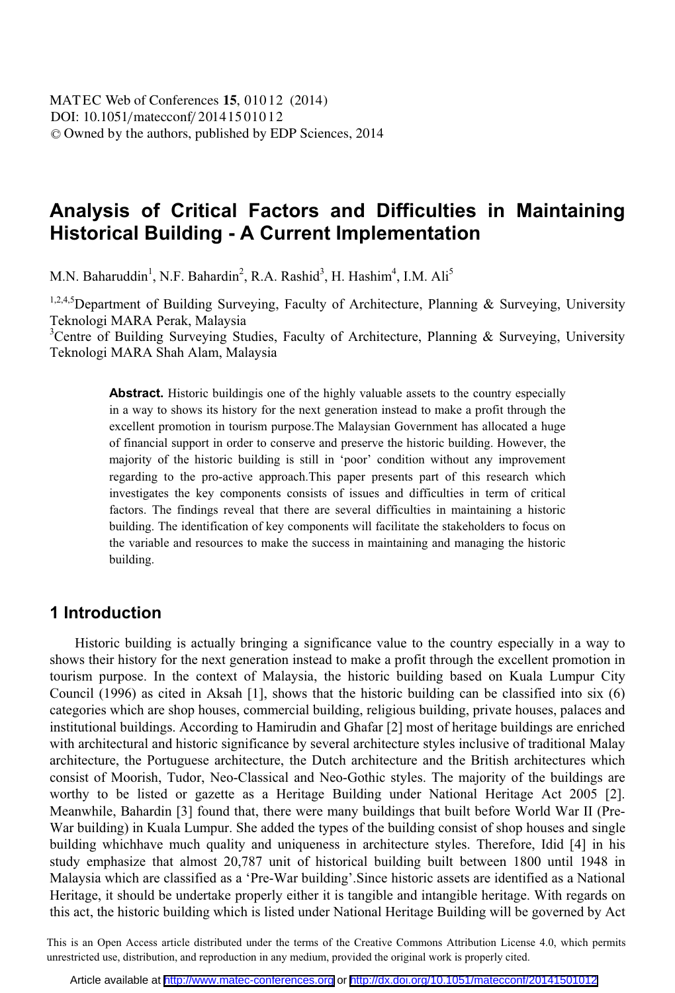# **Analysis of Critical Factors and Difficulties in Maintaining Historical Building - A Current Implementation**

M.N. Baharuddin<sup>1</sup>, N.F. Bahardin<sup>2</sup>, R.A. Rashid<sup>3</sup>, H. Hashim<sup>4</sup>, I.M. Ali<sup>5</sup>

1,2,4,5 Department of Building Surveying, Faculty of Architecture, Planning & Surveying, University Teknologi MARA Perak, Malaysia

<sup>3</sup>Centre of Building Surveying Studies, Faculty of Architecture, Planning & Surveying, University Teknologi MARA Shah Alam, Malaysia

> **Abstract.** Historic buildingis one of the highly valuable assets to the country especially in a way to shows its history for the next generation instead to make a profit through the excellent promotion in tourism purpose.The Malaysian Government has allocated a huge of financial support in order to conserve and preserve the historic building. However, the majority of the historic building is still in 'poor' condition without any improvement regarding to the pro-active approach.This paper presents part of this research which investigates the key components consists of issues and difficulties in term of critical factors. The findings reveal that there are several difficulties in maintaining a historic building. The identification of key components will facilitate the stakeholders to focus on the variable and resources to make the success in maintaining and managing the historic building.

## **1 Introduction**

Historic building is actually bringing a significance value to the country especially in a way to shows their history for the next generation instead to make a profit through the excellent promotion in tourism purpose. In the context of Malaysia, the historic building based on Kuala Lumpur City Council (1996) as cited in Aksah [1], shows that the historic building can be classified into six (6) categories which are shop houses, commercial building, religious building, private houses, palaces and institutional buildings. According to Hamirudin and Ghafar [2] most of heritage buildings are enriched with architectural and historic significance by several architecture styles inclusive of traditional Malay architecture, the Portuguese architecture, the Dutch architecture and the British architectures which consist of Moorish, Tudor, Neo-Classical and Neo-Gothic styles. The majority of the buildings are worthy to be listed or gazette as a Heritage Building under National Heritage Act 2005 [2]. Meanwhile, Bahardin [3] found that, there were many buildings that built before World War II (Pre-War building) in Kuala Lumpur. She added the types of the building consist of shop houses and single building whichhave much quality and uniqueness in architecture styles. Therefore, Idid [4] in his study emphasize that almost 20,787 unit of historical building built between 1800 until 1948 in Malaysia which are classified as a 'Pre-War building'.Since historic assets are identified as a National Heritage, it should be undertake properly either it is tangible and intangible heritage. With regards on this act, the historic building which is listed under National Heritage Building will be governed by Act

This is an Open Access article distributed under the terms of the Creative Commons Attribution License 4.0, which permits unrestricted use, distribution, and reproduction in any medium, provided the original work is properly cited.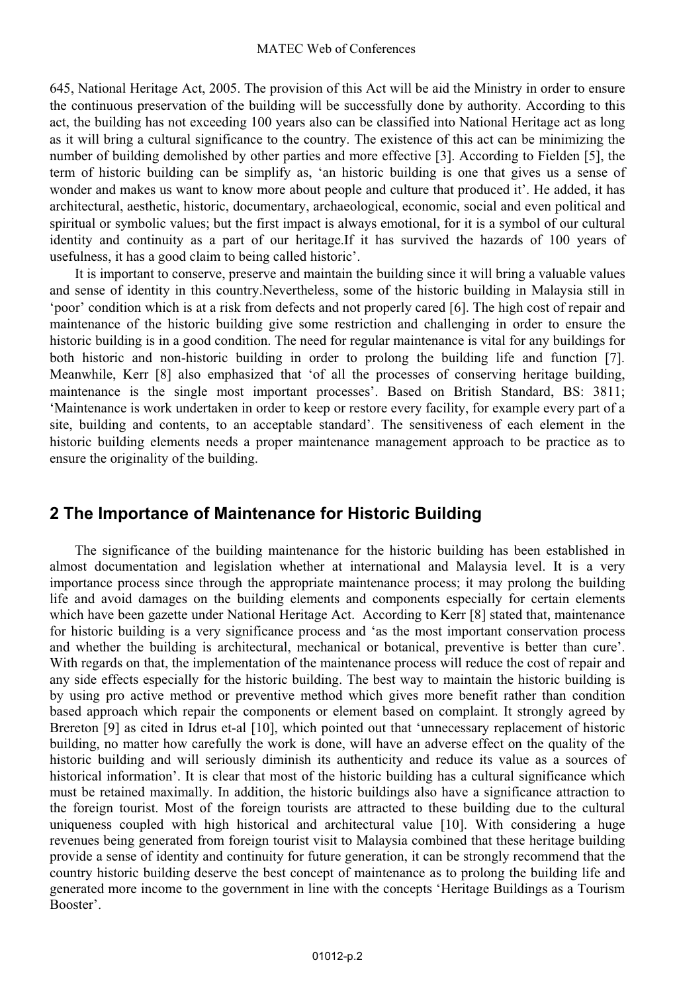645, National Heritage Act, 2005. The provision of this Act will be aid the Ministry in order to ensure the continuous preservation of the building will be successfully done by authority. According to this act, the building has not exceeding 100 years also can be classified into National Heritage act as long as it will bring a cultural significance to the country. The existence of this act can be minimizing the number of building demolished by other parties and more effective [3]. According to Fielden [5], the term of historic building can be simplify as, 'an historic building is one that gives us a sense of wonder and makes us want to know more about people and culture that produced it'. He added, it has architectural, aesthetic, historic, documentary, archaeological, economic, social and even political and spiritual or symbolic values; but the first impact is always emotional, for it is a symbol of our cultural identity and continuity as a part of our heritage.If it has survived the hazards of 100 years of usefulness, it has a good claim to being called historic'.

It is important to conserve, preserve and maintain the building since it will bring a valuable values and sense of identity in this country.Nevertheless, some of the historic building in Malaysia still in 'poor' condition which is at a risk from defects and not properly cared [6]. The high cost of repair and maintenance of the historic building give some restriction and challenging in order to ensure the historic building is in a good condition. The need for regular maintenance is vital for any buildings for both historic and non-historic building in order to prolong the building life and function [7]. Meanwhile, Kerr [8] also emphasized that 'of all the processes of conserving heritage building, maintenance is the single most important processes'. Based on British Standard, BS: 3811; 'Maintenance is work undertaken in order to keep or restore every facility, for example every part of a site, building and contents, to an acceptable standard'. The sensitiveness of each element in the historic building elements needs a proper maintenance management approach to be practice as to ensure the originality of the building.

# **2 The Importance of Maintenance for Historic Building**

The significance of the building maintenance for the historic building has been established in almost documentation and legislation whether at international and Malaysia level. It is a very importance process since through the appropriate maintenance process; it may prolong the building life and avoid damages on the building elements and components especially for certain elements which have been gazette under National Heritage Act. According to Kerr [8] stated that, maintenance for historic building is a very significance process and 'as the most important conservation process and whether the building is architectural, mechanical or botanical, preventive is better than cure'. With regards on that, the implementation of the maintenance process will reduce the cost of repair and any side effects especially for the historic building. The best way to maintain the historic building is by using pro active method or preventive method which gives more benefit rather than condition based approach which repair the components or element based on complaint. It strongly agreed by Brereton [9] as cited in Idrus et-al [10], which pointed out that 'unnecessary replacement of historic building, no matter how carefully the work is done, will have an adverse effect on the quality of the historic building and will seriously diminish its authenticity and reduce its value as a sources of historical information'. It is clear that most of the historic building has a cultural significance which must be retained maximally. In addition, the historic buildings also have a significance attraction to the foreign tourist. Most of the foreign tourists are attracted to these building due to the cultural uniqueness coupled with high historical and architectural value [10]. With considering a huge revenues being generated from foreign tourist visit to Malaysia combined that these heritage building provide a sense of identity and continuity for future generation, it can be strongly recommend that the country historic building deserve the best concept of maintenance as to prolong the building life and generated more income to the government in line with the concepts 'Heritage Buildings as a Tourism Booster'.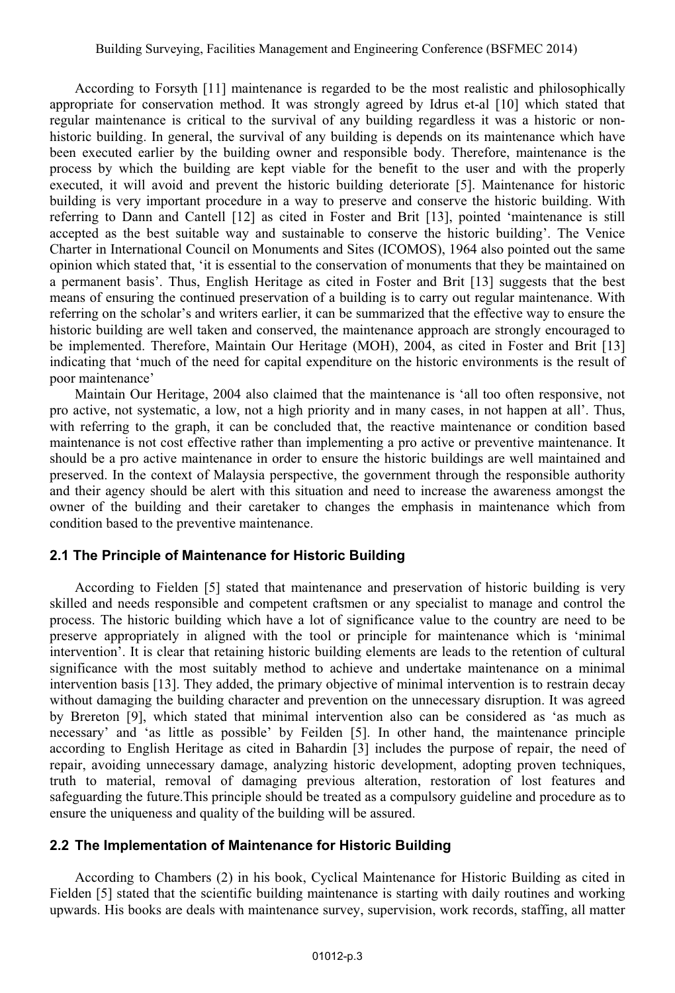According to Forsyth [11] maintenance is regarded to be the most realistic and philosophically appropriate for conservation method. It was strongly agreed by Idrus et-al [10] which stated that regular maintenance is critical to the survival of any building regardless it was a historic or nonhistoric building. In general, the survival of any building is depends on its maintenance which have been executed earlier by the building owner and responsible body. Therefore, maintenance is the process by which the building are kept viable for the benefit to the user and with the properly executed, it will avoid and prevent the historic building deteriorate [5]. Maintenance for historic building is very important procedure in a way to preserve and conserve the historic building. With referring to Dann and Cantell [12] as cited in Foster and Brit [13], pointed 'maintenance is still accepted as the best suitable way and sustainable to conserve the historic building'. The Venice Charter in International Council on Monuments and Sites (ICOMOS), 1964 also pointed out the same opinion which stated that, 'it is essential to the conservation of monuments that they be maintained on a permanent basis'. Thus, English Heritage as cited in Foster and Brit [13] suggests that the best means of ensuring the continued preservation of a building is to carry out regular maintenance. With referring on the scholar's and writers earlier, it can be summarized that the effective way to ensure the historic building are well taken and conserved, the maintenance approach are strongly encouraged to be implemented. Therefore, Maintain Our Heritage (MOH), 2004, as cited in Foster and Brit [13] indicating that 'much of the need for capital expenditure on the historic environments is the result of poor maintenance'

Maintain Our Heritage, 2004 also claimed that the maintenance is 'all too often responsive, not pro active, not systematic, a low, not a high priority and in many cases, in not happen at all'. Thus, with referring to the graph, it can be concluded that, the reactive maintenance or condition based maintenance is not cost effective rather than implementing a pro active or preventive maintenance. It should be a pro active maintenance in order to ensure the historic buildings are well maintained and preserved. In the context of Malaysia perspective, the government through the responsible authority and their agency should be alert with this situation and need to increase the awareness amongst the owner of the building and their caretaker to changes the emphasis in maintenance which from condition based to the preventive maintenance.

#### **2.1 The Principle of Maintenance for Historic Building**

According to Fielden [5] stated that maintenance and preservation of historic building is very skilled and needs responsible and competent craftsmen or any specialist to manage and control the process. The historic building which have a lot of significance value to the country are need to be preserve appropriately in aligned with the tool or principle for maintenance which is 'minimal intervention'. It is clear that retaining historic building elements are leads to the retention of cultural significance with the most suitably method to achieve and undertake maintenance on a minimal intervention basis [13]. They added, the primary objective of minimal intervention is to restrain decay without damaging the building character and prevention on the unnecessary disruption. It was agreed by Brereton [9], which stated that minimal intervention also can be considered as 'as much as necessary' and 'as little as possible' by Feilden [5]. In other hand, the maintenance principle according to English Heritage as cited in Bahardin [3] includes the purpose of repair, the need of repair, avoiding unnecessary damage, analyzing historic development, adopting proven techniques, truth to material, removal of damaging previous alteration, restoration of lost features and safeguarding the future.This principle should be treated as a compulsory guideline and procedure as to ensure the uniqueness and quality of the building will be assured.

#### **2.2 The Implementation of Maintenance for Historic Building**

According to Chambers (2) in his book, Cyclical Maintenance for Historic Building as cited in Fielden [5] stated that the scientific building maintenance is starting with daily routines and working upwards. His books are deals with maintenance survey, supervision, work records, staffing, all matter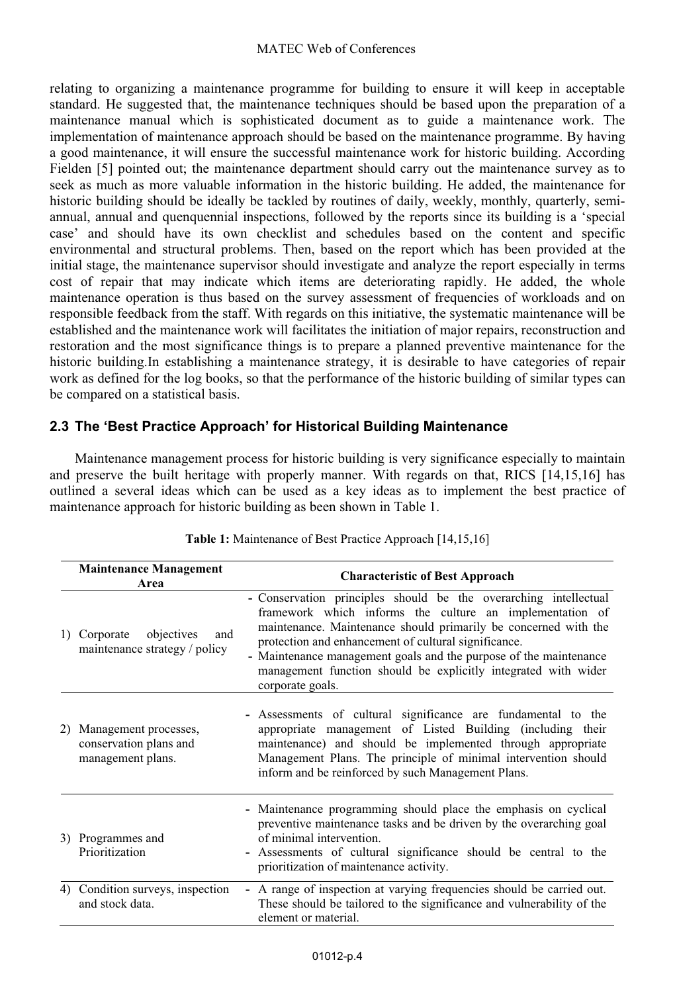#### MATEC Web of Conferences

relating to organizing a maintenance programme for building to ensure it will keep in acceptable standard. He suggested that, the maintenance techniques should be based upon the preparation of a maintenance manual which is sophisticated document as to guide a maintenance work. The implementation of maintenance approach should be based on the maintenance programme. By having a good maintenance, it will ensure the successful maintenance work for historic building. According Fielden [5] pointed out; the maintenance department should carry out the maintenance survey as to seek as much as more valuable information in the historic building. He added, the maintenance for historic building should be ideally be tackled by routines of daily, weekly, monthly, quarterly, semiannual, annual and quenquennial inspections, followed by the reports since its building is a 'special case' and should have its own checklist and schedules based on the content and specific environmental and structural problems. Then, based on the report which has been provided at the initial stage, the maintenance supervisor should investigate and analyze the report especially in terms cost of repair that may indicate which items are deteriorating rapidly. He added, the whole maintenance operation is thus based on the survey assessment of frequencies of workloads and on responsible feedback from the staff. With regards on this initiative, the systematic maintenance will be established and the maintenance work will facilitates the initiation of major repairs, reconstruction and restoration and the most significance things is to prepare a planned preventive maintenance for the historic building.In establishing a maintenance strategy, it is desirable to have categories of repair work as defined for the log books, so that the performance of the historic building of similar types can be compared on a statistical basis.

## **2.3 The 'Best Practice Approach' for Historical Building Maintenance**

Maintenance management process for historic building is very significance especially to maintain and preserve the built heritage with properly manner. With regards on that, RICS [14,15,16] has outlined a several ideas which can be used as a key ideas as to implement the best practice of maintenance approach for historic building as been shown in Table 1.

| <b>Maintenance Management</b><br>Area |                                                                      | <b>Characteristic of Best Approach</b>                                                                                                                                                                                                                                                                                                                                                                             |  |
|---------------------------------------|----------------------------------------------------------------------|--------------------------------------------------------------------------------------------------------------------------------------------------------------------------------------------------------------------------------------------------------------------------------------------------------------------------------------------------------------------------------------------------------------------|--|
|                                       | objectives<br>1) Corporate<br>and<br>maintenance strategy / policy   | - Conservation principles should be the overarching intellectual<br>framework which informs the culture an implementation of<br>maintenance. Maintenance should primarily be concerned with the<br>protection and enhancement of cultural significance.<br>- Maintenance management goals and the purpose of the maintenance<br>management function should be explicitly integrated with wider<br>corporate goals. |  |
| 2)                                    | Management processes,<br>conservation plans and<br>management plans. | - Assessments of cultural significance are fundamental to the<br>appropriate management of Listed Building (including their<br>maintenance) and should be implemented through appropriate<br>Management Plans. The principle of minimal intervention should<br>inform and be reinforced by such Management Plans.                                                                                                  |  |
|                                       | 3) Programmes and<br>Prioritization                                  | - Maintenance programming should place the emphasis on cyclical<br>preventive maintenance tasks and be driven by the overarching goal<br>of minimal intervention.<br>- Assessments of cultural significance should be central to the<br>prioritization of maintenance activity.                                                                                                                                    |  |
|                                       | 4) Condition surveys, inspection<br>and stock data.                  | - A range of inspection at varying frequencies should be carried out.<br>These should be tailored to the significance and vulnerability of the<br>element or material.                                                                                                                                                                                                                                             |  |

**Table 1:** Maintenance of Best Practice Approach [14,15,16]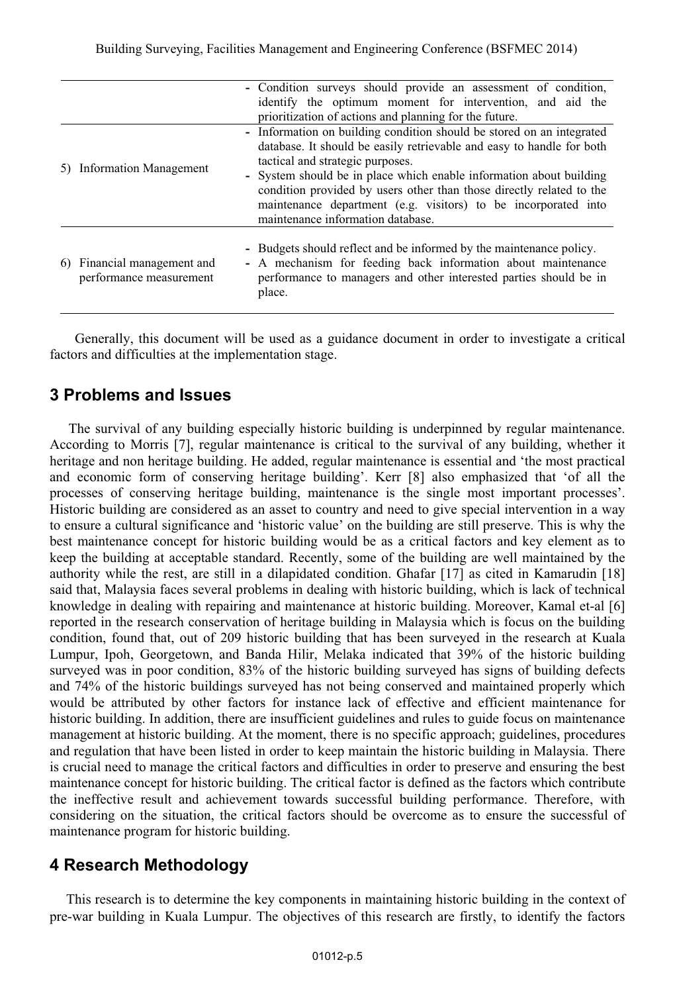|                                                        | - Condition surveys should provide an assessment of condition,<br>identify the optimum moment for intervention, and aid the<br>prioritization of actions and planning for the future.                                                                                                                                                                                                                                                    |  |
|--------------------------------------------------------|------------------------------------------------------------------------------------------------------------------------------------------------------------------------------------------------------------------------------------------------------------------------------------------------------------------------------------------------------------------------------------------------------------------------------------------|--|
| 5) Information Management                              | - Information on building condition should be stored on an integrated<br>database. It should be easily retrievable and easy to handle for both<br>tactical and strategic purposes.<br>- System should be in place which enable information about building<br>condition provided by users other than those directly related to the<br>maintenance department (e.g. visitors) to be incorporated into<br>maintenance information database. |  |
| 6) Financial management and<br>performance measurement | - Budgets should reflect and be informed by the maintenance policy.<br>- A mechanism for feeding back information about maintenance<br>performance to managers and other interested parties should be in<br>place.                                                                                                                                                                                                                       |  |

Generally, this document will be used as a guidance document in order to investigate a critical factors and difficulties at the implementation stage.

# **3 Problems and Issues**

The survival of any building especially historic building is underpinned by regular maintenance. According to Morris [7], regular maintenance is critical to the survival of any building, whether it heritage and non heritage building. He added, regular maintenance is essential and 'the most practical and economic form of conserving heritage building'. Kerr [8] also emphasized that 'of all the processes of conserving heritage building, maintenance is the single most important processes'. Historic building are considered as an asset to country and need to give special intervention in a way to ensure a cultural significance and 'historic value' on the building are still preserve. This is why the best maintenance concept for historic building would be as a critical factors and key element as to keep the building at acceptable standard. Recently, some of the building are well maintained by the authority while the rest, are still in a dilapidated condition. Ghafar [17] as cited in Kamarudin [18] said that, Malaysia faces several problems in dealing with historic building, which is lack of technical knowledge in dealing with repairing and maintenance at historic building. Moreover, Kamal et-al [6] reported in the research conservation of heritage building in Malaysia which is focus on the building condition, found that, out of 209 historic building that has been surveyed in the research at Kuala Lumpur, Ipoh, Georgetown, and Banda Hilir, Melaka indicated that 39% of the historic building surveyed was in poor condition, 83% of the historic building surveyed has signs of building defects and 74% of the historic buildings surveyed has not being conserved and maintained properly which would be attributed by other factors for instance lack of effective and efficient maintenance for historic building. In addition, there are insufficient guidelines and rules to guide focus on maintenance management at historic building. At the moment, there is no specific approach; guidelines, procedures and regulation that have been listed in order to keep maintain the historic building in Malaysia. There is crucial need to manage the critical factors and difficulties in order to preserve and ensuring the best maintenance concept for historic building. The critical factor is defined as the factors which contribute the ineffective result and achievement towards successful building performance. Therefore, with considering on the situation, the critical factors should be overcome as to ensure the successful of maintenance program for historic building.

# **4 Research Methodology**

This research is to determine the key components in maintaining historic building in the context of pre-war building in Kuala Lumpur. The objectives of this research are firstly, to identify the factors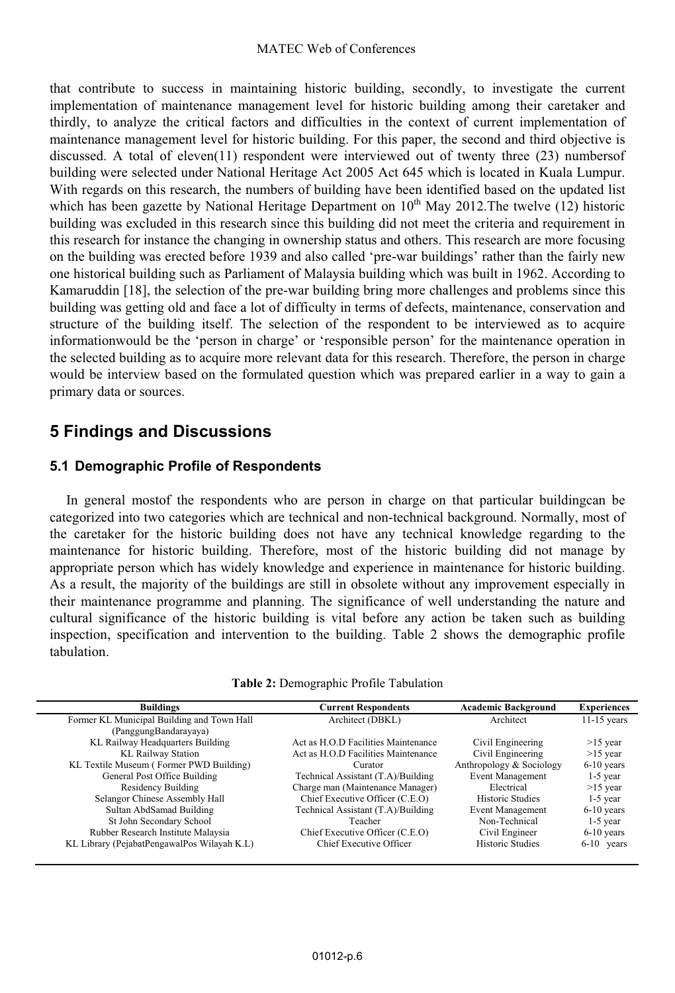that contribute to success in maintaining historic building, secondly, to investigate the current implementation of maintenance management level for historic building among their caretaker and thirdly, to analyze the critical factors and difficulties in the context of current implementation of maintenance management level for historic building. For this paper, the second and third objective is discussed. A total of eleven(11) respondent were interviewed out of twenty three (23) numbersof building were selected under National Heritage Act 2005 Act 645 which is located in Kuala Lumpur. With regards on this research, the numbers of building have been identified based on the updated list which has been gazette by National Heritage Department on  $10<sup>th</sup>$  May 2012. The twelve (12) historic building was excluded in this research since this building did not meet the criteria and requirement in this research for instance the changing in ownership status and others. This research are more focusing on the building was erected before 1939 and also called 'pre-war buildings' rather than the fairly new one historical building such as Parliament of Malaysia building which was built in 1962. According to Kamaruddin [18], the selection of the pre-war building bring more challenges and problems since this building was getting old and face a lot of difficulty in terms of defects, maintenance, conservation and structure of the building itself. The selection of the respondent to be interviewed as to acquire informationwould be the 'person in charge' or 'responsible person' for the maintenance operation in the selected building as to acquire more relevant data for this research. Therefore, the person in charge would be interview based on the formulated question which was prepared earlier in a way to gain a primary data or sources.

# **5 Findings and Discussions**

## **5.1 Demographic Profile of Respondents**

In general mostof the respondents who are person in charge on that particular buildingcan be categorized into two categories which are technical and non-technical background. Normally, most of the caretaker for the historic building does not have any technical knowledge regarding to the maintenance for historic building. Therefore, most of the historic building did not manage by appropriate person which has widely knowledge and experience in maintenance for historic building. As a result, the majority of the buildings are still in obsolete without any improvement especially in their maintenance programme and planning. The significance of well understanding the nature and cultural significance of the historic building is vital before any action be taken such as building inspection, specification and intervention to the building. Table 2 shows the demographic profile tabulation.

| <b>Buildings</b>                            | <b>Current Respondents</b>          | <b>Academic Background</b> | <b>Experiences</b> |
|---------------------------------------------|-------------------------------------|----------------------------|--------------------|
| Former KL Municipal Building and Town Hall  | Architect (DBKL)                    | Architect                  | $11-15$ years      |
| (PanggungBandarayaya)                       |                                     |                            |                    |
| KL Railway Headquarters Building            | Act as H.O.D Facilities Maintenance | Civil Engineering          | $>15$ year         |
| KL Railway Station                          | Act as H.O.D Facilities Maintenance | Civil Engineering          | $>15$ year         |
| KL Textile Museum (Former PWD Building)     | Curator                             | Anthropology & Sociology   | $6-10$ years       |
| General Post Office Building                | Technical Assistant (T.A)/Building  | <b>Event Management</b>    | $1-5$ year         |
| <b>Residency Building</b>                   | Charge man (Maintenance Manager)    | Electrical                 | $>15$ year         |
| Selangor Chinese Assembly Hall              | Chief Executive Officer (C.E.O)     | <b>Historic Studies</b>    | $1-5$ year         |
| Sultan AbdSamad Building                    | Technical Assistant (T.A)/Building  | Event Management           | $6-10$ years       |
| St John Secondary School                    | Teacher                             | Non-Technical              | $1-5$ year         |
| Rubber Research Institute Malaysia          | Chief Executive Officer (C.E.O)     | Civil Engineer             | $6-10$ years       |
| KL Library (PejabatPengawalPos Wilayah K.L) | Chief Executive Officer             | <b>Historic Studies</b>    | $6-10$ years       |

**Table 2:** Demographic Profile Tabulation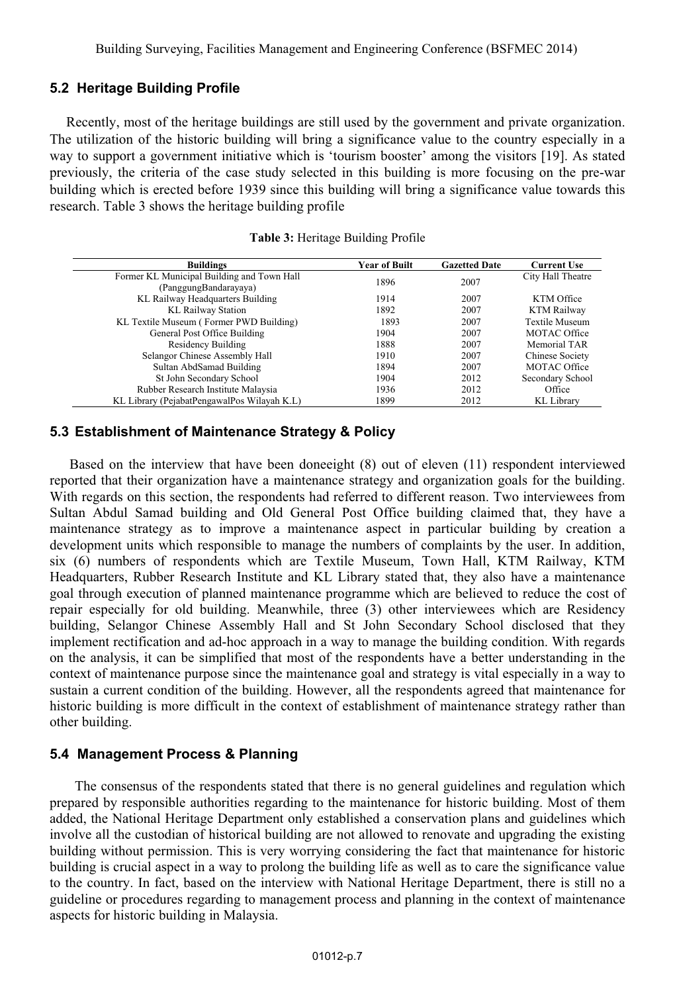### **5.2 Heritage Building Profile**

Recently, most of the heritage buildings are still used by the government and private organization. The utilization of the historic building will bring a significance value to the country especially in a way to support a government initiative which is 'tourism booster' among the visitors [19]. As stated previously, the criteria of the case study selected in this building is more focusing on the pre-war building which is erected before 1939 since this building will bring a significance value towards this research. Table 3 shows the heritage building profile

| <b>Buildings</b>                            | Year of Built | <b>Gazetted Date</b> | <b>Current Use</b>    |
|---------------------------------------------|---------------|----------------------|-----------------------|
| Former KL Municipal Building and Town Hall  | 1896          | 2007                 | City Hall Theatre     |
| (PanggungBandarayaya)                       |               |                      |                       |
| KL Railway Headquarters Building            | 1914          | 2007                 | KTM Office            |
| <b>KL Railway Station</b>                   | 1892          | 2007                 | KTM Railway           |
| KL Textile Museum (Former PWD Building)     | 1893          | 2007                 | <b>Textile Museum</b> |
| General Post Office Building                | 1904          | 2007                 | MOTAC Office          |
| <b>Residency Building</b>                   | 1888          | 2007                 | Memorial TAR          |
| Selangor Chinese Assembly Hall              | 1910          | 2007                 | Chinese Society       |
| Sultan AbdSamad Building                    | 1894          | 2007                 | <b>MOTAC Office</b>   |
| St John Secondary School                    | 1904          | 2012                 | Secondary School      |
| Rubber Research Institute Malaysia          | 1936          | 2012                 | Office                |
| KL Library (PejabatPengawalPos Wilayah K.L) | 1899          | 2012                 | <b>KL</b> Library     |

**Table 3:** Heritage Building Profile

### **5.3 Establishment of Maintenance Strategy & Policy**

Based on the interview that have been doneeight (8) out of eleven (11) respondent interviewed reported that their organization have a maintenance strategy and organization goals for the building. With regards on this section, the respondents had referred to different reason. Two interviewees from Sultan Abdul Samad building and Old General Post Office building claimed that, they have a maintenance strategy as to improve a maintenance aspect in particular building by creation a development units which responsible to manage the numbers of complaints by the user. In addition, six (6) numbers of respondents which are Textile Museum, Town Hall, KTM Railway, KTM Headquarters, Rubber Research Institute and KL Library stated that, they also have a maintenance goal through execution of planned maintenance programme which are believed to reduce the cost of repair especially for old building. Meanwhile, three (3) other interviewees which are Residency building, Selangor Chinese Assembly Hall and St John Secondary School disclosed that they implement rectification and ad-hoc approach in a way to manage the building condition. With regards on the analysis, it can be simplified that most of the respondents have a better understanding in the context of maintenance purpose since the maintenance goal and strategy is vital especially in a way to sustain a current condition of the building. However, all the respondents agreed that maintenance for historic building is more difficult in the context of establishment of maintenance strategy rather than other building.

#### **5.4 Management Process & Planning**

 The consensus of the respondents stated that there is no general guidelines and regulation which prepared by responsible authorities regarding to the maintenance for historic building. Most of them added, the National Heritage Department only established a conservation plans and guidelines which involve all the custodian of historical building are not allowed to renovate and upgrading the existing building without permission. This is very worrying considering the fact that maintenance for historic building is crucial aspect in a way to prolong the building life as well as to care the significance value to the country. In fact, based on the interview with National Heritage Department, there is still no a guideline or procedures regarding to management process and planning in the context of maintenance aspects for historic building in Malaysia.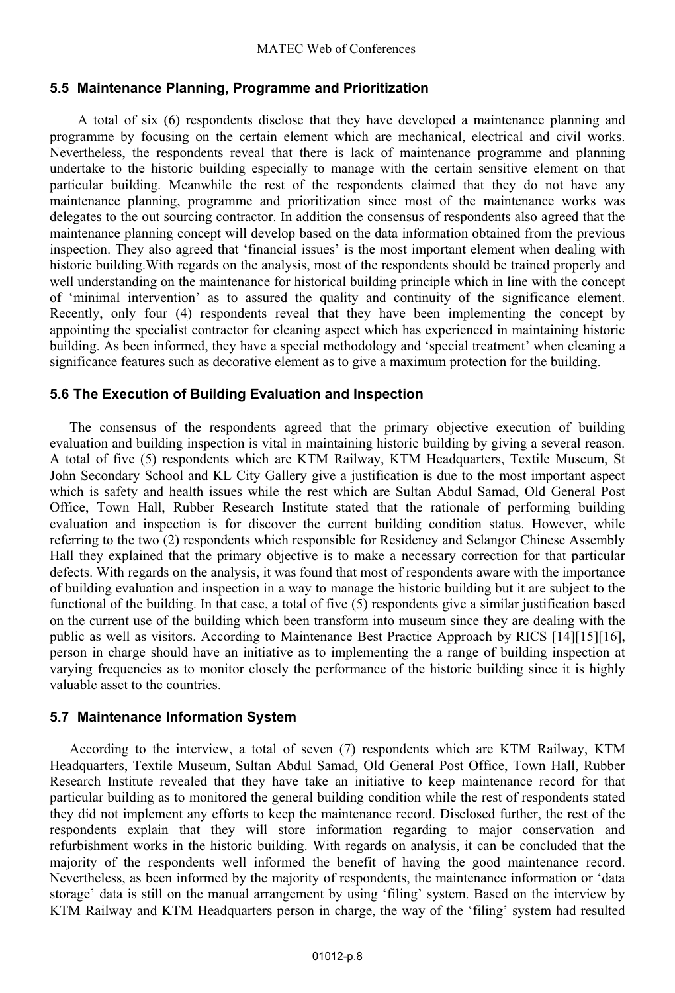#### **5.5 Maintenance Planning, Programme and Prioritization**

 A total of six (6) respondents disclose that they have developed a maintenance planning and programme by focusing on the certain element which are mechanical, electrical and civil works. Nevertheless, the respondents reveal that there is lack of maintenance programme and planning undertake to the historic building especially to manage with the certain sensitive element on that particular building. Meanwhile the rest of the respondents claimed that they do not have any maintenance planning, programme and prioritization since most of the maintenance works was delegates to the out sourcing contractor. In addition the consensus of respondents also agreed that the maintenance planning concept will develop based on the data information obtained from the previous inspection. They also agreed that 'financial issues' is the most important element when dealing with historic building.With regards on the analysis, most of the respondents should be trained properly and well understanding on the maintenance for historical building principle which in line with the concept of 'minimal intervention' as to assured the quality and continuity of the significance element. Recently, only four (4) respondents reveal that they have been implementing the concept by appointing the specialist contractor for cleaning aspect which has experienced in maintaining historic building. As been informed, they have a special methodology and 'special treatment' when cleaning a significance features such as decorative element as to give a maximum protection for the building.

#### **5.6 The Execution of Building Evaluation and Inspection**

The consensus of the respondents agreed that the primary objective execution of building evaluation and building inspection is vital in maintaining historic building by giving a several reason. A total of five (5) respondents which are KTM Railway, KTM Headquarters, Textile Museum, St John Secondary School and KL City Gallery give a justification is due to the most important aspect which is safety and health issues while the rest which are Sultan Abdul Samad, Old General Post Office, Town Hall, Rubber Research Institute stated that the rationale of performing building evaluation and inspection is for discover the current building condition status. However, while referring to the two (2) respondents which responsible for Residency and Selangor Chinese Assembly Hall they explained that the primary objective is to make a necessary correction for that particular defects. With regards on the analysis, it was found that most of respondents aware with the importance of building evaluation and inspection in a way to manage the historic building but it are subject to the functional of the building. In that case, a total of five (5) respondents give a similar justification based on the current use of the building which been transform into museum since they are dealing with the public as well as visitors. According to Maintenance Best Practice Approach by RICS [14][15][16], person in charge should have an initiative as to implementing the a range of building inspection at varying frequencies as to monitor closely the performance of the historic building since it is highly valuable asset to the countries.

#### **5.7 Maintenance Information System**

According to the interview, a total of seven (7) respondents which are KTM Railway, KTM Headquarters, Textile Museum, Sultan Abdul Samad, Old General Post Office, Town Hall, Rubber Research Institute revealed that they have take an initiative to keep maintenance record for that particular building as to monitored the general building condition while the rest of respondents stated they did not implement any efforts to keep the maintenance record. Disclosed further, the rest of the respondents explain that they will store information regarding to major conservation and refurbishment works in the historic building. With regards on analysis, it can be concluded that the majority of the respondents well informed the benefit of having the good maintenance record. Nevertheless, as been informed by the majority of respondents, the maintenance information or 'data storage' data is still on the manual arrangement by using 'filing' system. Based on the interview by KTM Railway and KTM Headquarters person in charge, the way of the 'filing' system had resulted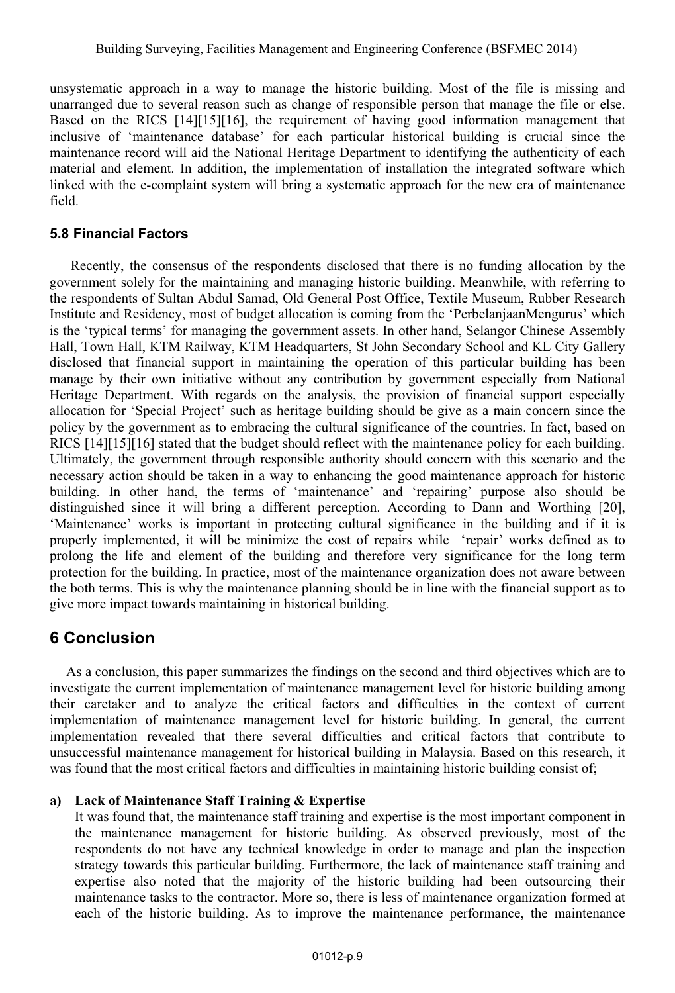unsystematic approach in a way to manage the historic building. Most of the file is missing and unarranged due to several reason such as change of responsible person that manage the file or else. Based on the RICS [14][15][16], the requirement of having good information management that inclusive of 'maintenance database' for each particular historical building is crucial since the maintenance record will aid the National Heritage Department to identifying the authenticity of each material and element. In addition, the implementation of installation the integrated software which linked with the e-complaint system will bring a systematic approach for the new era of maintenance field.

## **5.8 Financial Factors**

 Recently, the consensus of the respondents disclosed that there is no funding allocation by the government solely for the maintaining and managing historic building. Meanwhile, with referring to the respondents of Sultan Abdul Samad, Old General Post Office, Textile Museum, Rubber Research Institute and Residency, most of budget allocation is coming from the 'PerbelanjaanMengurus' which is the 'typical terms' for managing the government assets. In other hand, Selangor Chinese Assembly Hall, Town Hall, KTM Railway, KTM Headquarters, St John Secondary School and KL City Gallery disclosed that financial support in maintaining the operation of this particular building has been manage by their own initiative without any contribution by government especially from National Heritage Department. With regards on the analysis, the provision of financial support especially allocation for 'Special Project' such as heritage building should be give as a main concern since the policy by the government as to embracing the cultural significance of the countries. In fact, based on RICS [14][15][16] stated that the budget should reflect with the maintenance policy for each building. Ultimately, the government through responsible authority should concern with this scenario and the necessary action should be taken in a way to enhancing the good maintenance approach for historic building. In other hand, the terms of 'maintenance' and 'repairing' purpose also should be distinguished since it will bring a different perception. According to Dann and Worthing [20], 'Maintenance' works is important in protecting cultural significance in the building and if it is properly implemented, it will be minimize the cost of repairs while 'repair' works defined as to prolong the life and element of the building and therefore very significance for the long term protection for the building. In practice, most of the maintenance organization does not aware between the both terms. This is why the maintenance planning should be in line with the financial support as to give more impact towards maintaining in historical building.

# **6 Conclusion**

As a conclusion, this paper summarizes the findings on the second and third objectives which are to investigate the current implementation of maintenance management level for historic building among their caretaker and to analyze the critical factors and difficulties in the context of current implementation of maintenance management level for historic building. In general, the current implementation revealed that there several difficulties and critical factors that contribute to unsuccessful maintenance management for historical building in Malaysia. Based on this research, it was found that the most critical factors and difficulties in maintaining historic building consist of;

### **a) Lack of Maintenance Staff Training & Expertise**

It was found that, the maintenance staff training and expertise is the most important component in the maintenance management for historic building. As observed previously, most of the respondents do not have any technical knowledge in order to manage and plan the inspection strategy towards this particular building. Furthermore, the lack of maintenance staff training and expertise also noted that the majority of the historic building had been outsourcing their maintenance tasks to the contractor. More so, there is less of maintenance organization formed at each of the historic building. As to improve the maintenance performance, the maintenance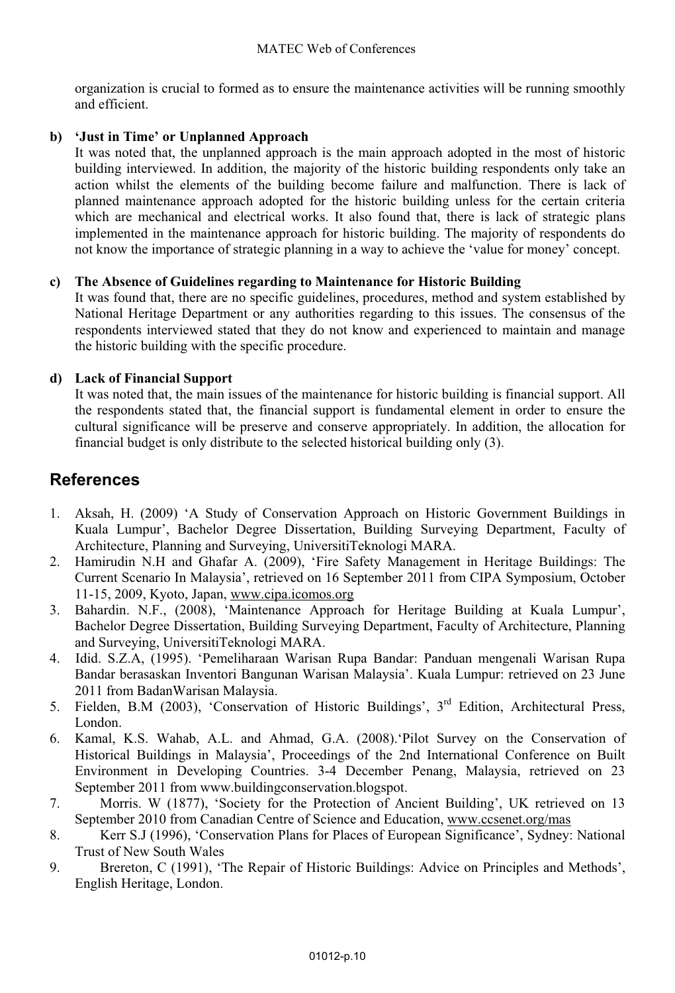organization is crucial to formed as to ensure the maintenance activities will be running smoothly and efficient.

### **b) 'Just in Time' or Unplanned Approach**

It was noted that, the unplanned approach is the main approach adopted in the most of historic building interviewed. In addition, the majority of the historic building respondents only take an action whilst the elements of the building become failure and malfunction. There is lack of planned maintenance approach adopted for the historic building unless for the certain criteria which are mechanical and electrical works. It also found that, there is lack of strategic plans implemented in the maintenance approach for historic building. The majority of respondents do not know the importance of strategic planning in a way to achieve the 'value for money' concept.

#### **c) The Absence of Guidelines regarding to Maintenance for Historic Building**

It was found that, there are no specific guidelines, procedures, method and system established by National Heritage Department or any authorities regarding to this issues. The consensus of the respondents interviewed stated that they do not know and experienced to maintain and manage the historic building with the specific procedure.

### **d) Lack of Financial Support**

 It was noted that, the main issues of the maintenance for historic building is financial support. All the respondents stated that, the financial support is fundamental element in order to ensure the cultural significance will be preserve and conserve appropriately. In addition, the allocation for financial budget is only distribute to the selected historical building only (3).

# **References**

- 1. Aksah, H. (2009) 'A Study of Conservation Approach on Historic Government Buildings in Kuala Lumpur', Bachelor Degree Dissertation, Building Surveying Department, Faculty of Architecture, Planning and Surveying, UniversitiTeknologi MARA.
- 2. Hamirudin N.H and Ghafar A. (2009), 'Fire Safety Management in Heritage Buildings: The Current Scenario In Malaysia', retrieved on 16 September 2011 from CIPA Symposium, October 11-15, 2009, Kyoto, Japan, www.cipa.icomos.org
- 3. Bahardin. N.F., (2008), 'Maintenance Approach for Heritage Building at Kuala Lumpur', Bachelor Degree Dissertation, Building Surveying Department, Faculty of Architecture, Planning and Surveying, UniversitiTeknologi MARA.
- 4. Idid. S.Z.A, (1995). 'Pemeliharaan Warisan Rupa Bandar: Panduan mengenali Warisan Rupa Bandar berasaskan Inventori Bangunan Warisan Malaysia'. Kuala Lumpur: retrieved on 23 June 2011 from BadanWarisan Malaysia.
- 5. Fielden, B.M (2003), 'Conservation of Historic Buildings', 3<sup>rd</sup> Edition, Architectural Press, London.
- 6. Kamal, K.S. Wahab, A.L. and Ahmad, G.A. (2008).'Pilot Survey on the Conservation of Historical Buildings in Malaysia', Proceedings of the 2nd International Conference on Built Environment in Developing Countries. 3-4 December Penang, Malaysia, retrieved on 23 September 2011 from www.buildingconservation.blogspot.
- 7. Morris. W (1877), 'Society for the Protection of Ancient Building', UK retrieved on 13 September 2010 from Canadian Centre of Science and Education, www.ccsenet.org/mas
- 8. Kerr S.J (1996), 'Conservation Plans for Places of European Significance', Sydney: National Trust of New South Wales
- 9. Brereton, C (1991), 'The Repair of Historic Buildings: Advice on Principles and Methods', English Heritage, London.